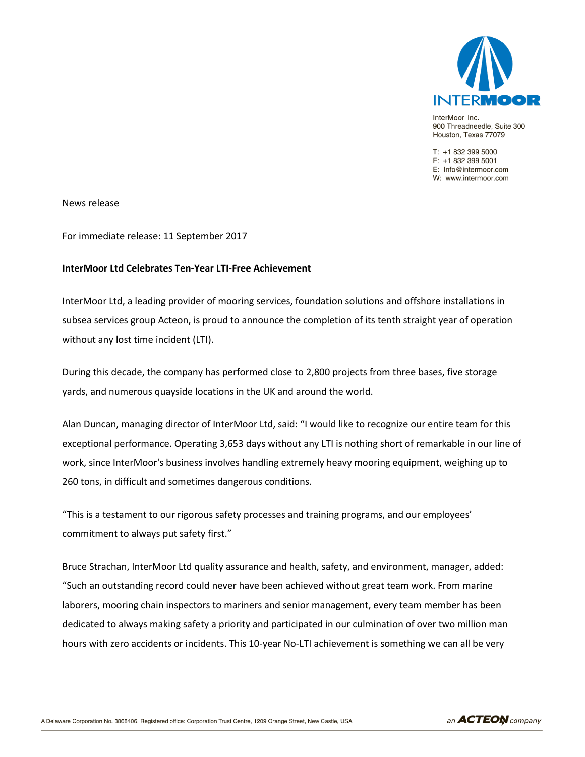

InterMoor Inc. 900 Threadneedle, Suite 300 Houston, Texas 77079

T: +1 832 399 5000  $F: +18323995001$ E: Info@intermoor.com W: www.intermoor.com

News release

For immediate release: 11 September 2017

## **InterMoor Ltd Celebrates Ten-Year LTI-Free Achievement**

InterMoor Ltd, a leading provider of mooring services, foundation solutions and offshore installations in subsea services group Acteon, is proud to announce the completion of its tenth straight year of operation without any lost time incident (LTI).

During this decade, the company has performed close to 2,800 projects from three bases, five storage yards, and numerous quayside locations in the UK and around the world.

Alan Duncan, managing director of InterMoor Ltd, said: "I would like to recognize our entire team for this exceptional performance. Operating 3,653 days without any LTI is nothing short of remarkable in our line of work, since InterMoor's business involves handling extremely heavy mooring equipment, weighing up to 260 tons, in difficult and sometimes dangerous conditions.

"This is a testament to our rigorous safety processes and training programs, and our employees' commitment to always put safety first."

Bruce Strachan, InterMoor Ltd quality assurance and health, safety, and environment, manager, added: "Such an outstanding record could never have been achieved without great team work. From marine laborers, mooring chain inspectors to mariners and senior management, every team member has been dedicated to always making safety a priority and participated in our culmination of over two million man hours with zero accidents or incidents. This 10-year No-LTI achievement is something we can all be very

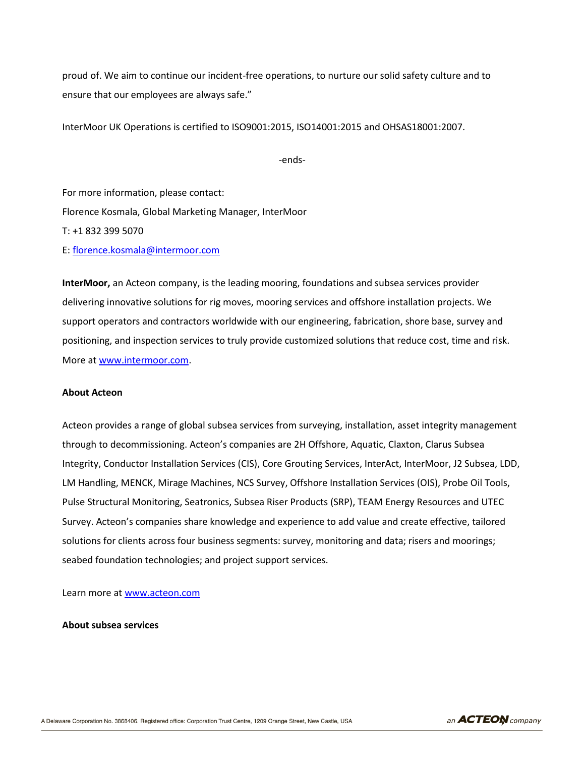proud of. We aim to continue our incident-free operations, to nurture our solid safety culture and to ensure that our employees are always safe."

InterMoor UK Operations is certified to ISO9001:2015, ISO14001:2015 and OHSAS18001:2007.

-ends-

For more information, please contact: Florence Kosmala, Global Marketing Manager, InterMoor T: +1 832 399 5070 E: [florence.kosmala@intermoor.com](mailto:florence.kosmala@intermoor.com)

**InterMoor,** an Acteon company, is the leading mooring, foundations and subsea services provider delivering innovative solutions for rig moves, mooring services and offshore installation projects. We support operators and contractors worldwide with our engineering, fabrication, shore base, survey and positioning, and inspection services to truly provide customized solutions that reduce cost, time and risk. More a[t www.intermoor.com.](http://www.intermoor.com/)

## **About Acteon**

Acteon provides a range of global subsea services from surveying, installation, asset integrity management through to decommissioning. Acteon's companies are 2H Offshore, Aquatic, Claxton, Clarus Subsea Integrity, Conductor Installation Services (CIS), Core Grouting Services, InterAct, InterMoor, J2 Subsea, LDD, LM Handling, MENCK, Mirage Machines, NCS Survey, Offshore Installation Services (OIS), Probe Oil Tools, Pulse Structural Monitoring, Seatronics, Subsea Riser Products (SRP), TEAM Energy Resources and UTEC Survey. Acteon's companies share knowledge and experience to add value and create effective, tailored solutions for clients across four business segments: survey, monitoring and data; risers and moorings; seabed foundation technologies; and project support services.

Learn more at [www.acteon.com](http://www.acteon.com/)

**About subsea services**